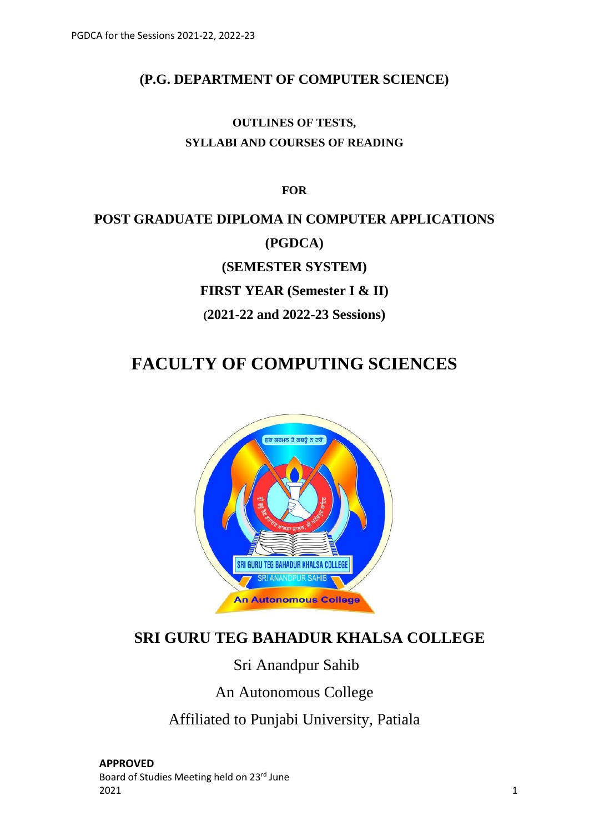## **(P.G. DEPARTMENT OF COMPUTER SCIENCE)**

## **OUTLINES OF TESTS, SYLLABI AND COURSES OF READING**

**FOR**

# **POST GRADUATE DIPLOMA IN COMPUTER APPLICATIONS (PGDCA) (SEMESTER SYSTEM) FIRST YEAR (Semester I & II) (2021-22 and 2022-23 Sessions)**

## **FACULTY OF COMPUTING SCIENCES**



## **SRI GURU TEG BAHADUR KHALSA COLLEGE**

## Sri Anandpur Sahib

## An Autonomous College

Affiliated to Punjabi University, Patiala

**APPROVED** Board of Studies Meeting held on 23rd June  $2021$  and  $1$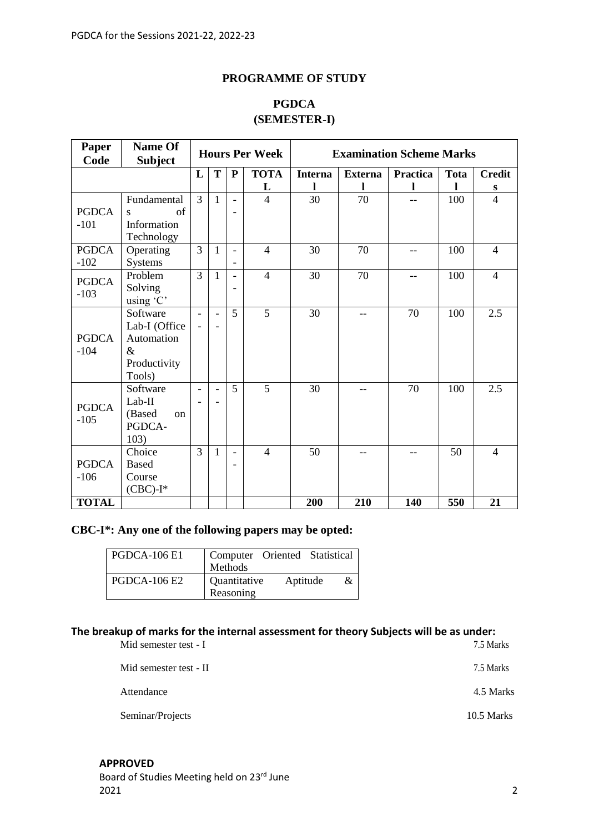### **PROGRAMME OF STUDY**

## **PGDCA (SEMESTER-I)**

| <b>Paper</b><br>Code   | <b>Name Of</b><br><b>Subject</b>                                          |                          |                          |                               | <b>Hours Per Week</b> | <b>Examination Scheme Marks</b> |                |                 |             |                |
|------------------------|---------------------------------------------------------------------------|--------------------------|--------------------------|-------------------------------|-----------------------|---------------------------------|----------------|-----------------|-------------|----------------|
|                        |                                                                           | L                        | T                        | ${\bf P}$                     | <b>TOTA</b>           | <b>Interna</b>                  | <b>Externa</b> | <b>Practica</b> | <b>Tota</b> | <b>Credit</b>  |
|                        |                                                                           |                          |                          |                               | L                     |                                 | -1             | L               |             | S              |
| <b>PGDCA</b>           | Fundamental<br>of<br>S                                                    | 3                        | $\mathbf{1}$             | $\overline{\phantom{a}}$<br>۳ | $\overline{4}$        | 30                              | 70             | $-$             | 100         | $\overline{4}$ |
| $-101$                 | Information<br>Technology                                                 |                          |                          |                               |                       |                                 |                |                 |             |                |
| <b>PGDCA</b><br>$-102$ | Operating<br>Systems                                                      | 3                        | $\mathbf{1}$             | $\overline{a}$                | $\overline{4}$        | 30                              | 70             | $-$             | 100         | $\overline{4}$ |
| <b>PGDCA</b><br>$-103$ | Problem<br>Solving<br>using 'C'                                           | 3                        | $\mathbf{1}$             | $\overline{a}$                | $\overline{4}$        | 30                              | 70             | $-$             | 100         | $\overline{4}$ |
| <b>PGDCA</b><br>$-104$ | Software<br>Lab-I (Office<br>Automation<br>$\&$<br>Productivity<br>Tools) | $\overline{\phantom{a}}$ | $\overline{\phantom{a}}$ | 5                             | $\overline{5}$        | 30                              | $-$            | 70              | 100         | 2.5            |
| <b>PGDCA</b><br>$-105$ | Software<br>$Lab-II$<br>(Based<br><sub>on</sub><br>PGDCA-<br>103)         | $\blacksquare$           | $\equiv$                 | 5                             | 5                     | 30                              | $-$            | 70              | 100         | 2.5            |
| <b>PGDCA</b><br>$-106$ | Choice<br><b>Based</b><br>Course<br>$(CBC)$ -I*                           | 3                        | $\mathbf{1}$             | L,                            | $\overline{4}$        | 50                              |                | --              | 50          | $\overline{4}$ |
| <b>TOTAL</b>           |                                                                           |                          |                          |                               |                       | 200                             | 210            | 140             | 550         | 21             |

## **CBC-I\*: Any one of the following papers may be opted:**

| <b>PGDCA-106 E1</b> | Computer Oriented Statistical<br>Methods   |
|---------------------|--------------------------------------------|
| <b>PGDCA-106 E2</b> | Quantitative<br>Aptitude<br>&<br>Reasoning |

## **The breakup of marks for the internal assessment for theory Subjects will be as under:**

| Mid semester test - I  | 7.5 Marks  |
|------------------------|------------|
| Mid semester test - II | 7.5 Marks  |
| Attendance             | 4.5 Marks  |
| Seminar/Projects       | 10.5 Marks |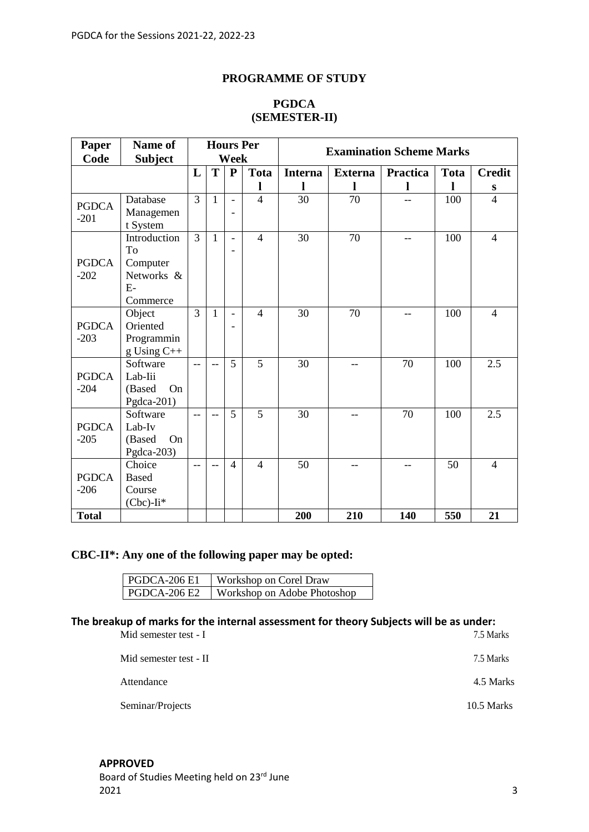## **PROGRAMME OF STUDY**

| Paper        | <b>Name of</b>  |                |              |                          | <b>Hours Per</b> | <b>Examination Scheme Marks</b> |                |                 |             |                |
|--------------|-----------------|----------------|--------------|--------------------------|------------------|---------------------------------|----------------|-----------------|-------------|----------------|
| Code         | <b>Subject</b>  |                |              | Week                     |                  |                                 |                |                 |             |                |
|              |                 | L              | T            | $\mathbf{P}$             | <b>Tota</b>      | <b>Interna</b>                  | <b>Externa</b> | <b>Practica</b> | <b>Tota</b> | <b>Credit</b>  |
|              |                 |                |              |                          | 1                | L                               | ı              | l               | 1           | S              |
| <b>PGDCA</b> | Database        | 3              | $\mathbf{1}$ | $\overline{\phantom{0}}$ | $\overline{4}$   | 30                              | 70             | $-$             | 100         | $\overline{4}$ |
| $-201$       | Managemen       |                |              |                          |                  |                                 |                |                 |             |                |
|              | t System        |                |              |                          |                  |                                 |                |                 |             |                |
|              | Introduction    | $\overline{3}$ | $\mathbf{1}$ | $\overline{a}$           | $\overline{4}$   | 30                              | 70             | $-$             | 100         | $\overline{4}$ |
|              | To              |                |              | ۳                        |                  |                                 |                |                 |             |                |
| <b>PGDCA</b> | Computer        |                |              |                          |                  |                                 |                |                 |             |                |
| $-202$       | Networks &      |                |              |                          |                  |                                 |                |                 |             |                |
|              | $E-$            |                |              |                          |                  |                                 |                |                 |             |                |
|              | Commerce        |                |              |                          |                  |                                 |                |                 |             |                |
|              | Object          | 3              | 1            | $\overline{a}$           | $\overline{4}$   | 30                              | 70             | --              | 100         | $\overline{4}$ |
| <b>PGDCA</b> | Oriented        |                |              |                          |                  |                                 |                |                 |             |                |
| $-203$       | Programmin      |                |              |                          |                  |                                 |                |                 |             |                |
|              | $g$ Using $C++$ |                |              |                          |                  |                                 |                |                 |             |                |
|              | Software        | $-$            | $-$          | 5                        | $\overline{5}$   | 30                              | $-$            | 70              | 100         | 2.5            |
| <b>PGDCA</b> | Lab-Iii         |                |              |                          |                  |                                 |                |                 |             |                |
| $-204$       | (Based<br>On    |                |              |                          |                  |                                 |                |                 |             |                |
|              | Pgdca-201)      |                |              |                          |                  |                                 |                |                 |             |                |
|              | Software        | $-$            | $-$          | 5                        | 5                | 30                              | --             | 70              | 100         | 2.5            |
| <b>PGDCA</b> | Lab-Iv          |                |              |                          |                  |                                 |                |                 |             |                |
| $-205$       | On<br>(Based    |                |              |                          |                  |                                 |                |                 |             |                |
|              | Pgdca-203)      |                |              |                          |                  |                                 |                |                 |             |                |
|              | Choice          | $-$            |              | $\overline{4}$           | $\overline{4}$   | 50                              | $-$            |                 | 50          | $\overline{4}$ |
| <b>PGDCA</b> | <b>Based</b>    |                |              |                          |                  |                                 |                |                 |             |                |
| $-206$       | Course          |                |              |                          |                  |                                 |                |                 |             |                |
|              | $(Cbc)$ -Ii*    |                |              |                          |                  |                                 |                |                 |             |                |
| <b>Total</b> |                 |                |              |                          |                  | 200                             | 210            | 140             | 550         | 21             |

## **PGDCA (SEMESTER-II)**

## **CBC-II\*: Any one of the following paper may be opted:**

| <b>PGDCA-206 E1</b> | Workshop on Corel Draw      |
|---------------------|-----------------------------|
| PGDCA-206 E2        | Workshop on Adobe Photoshop |

## **The breakup of marks for the internal assessment for theory Subjects will be as under:**

| Mid semester test - I  | 7.5 Marks  |
|------------------------|------------|
| Mid semester test - II | 7.5 Marks  |
| Attendance             | 4.5 Marks  |
| Seminar/Projects       | 10.5 Marks |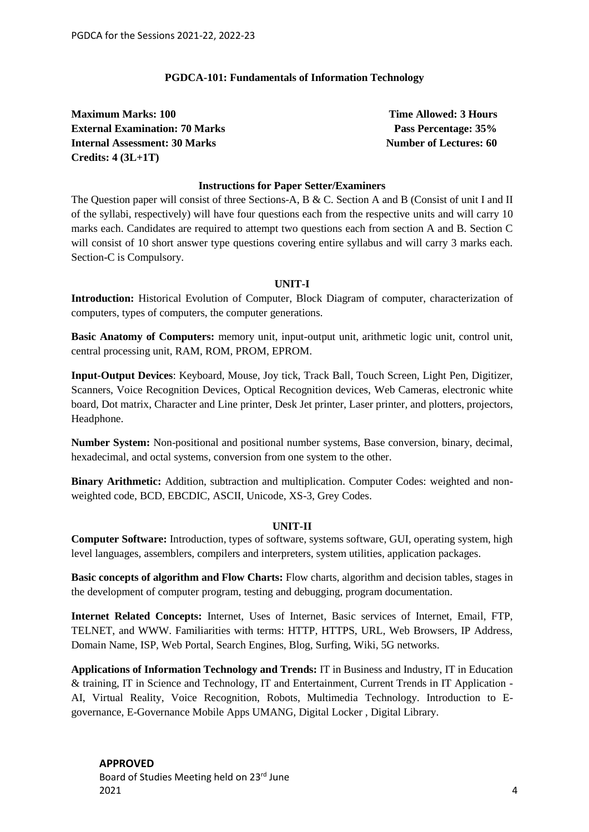#### **PGDCA-101: Fundamentals of Information Technology**

**Maximum Marks: 100 Time Allowed: 3 Hours External Examination: 70 Marks Pass Percentage: 35% Internal Assessment: 30 Marks Number of Lectures: 60 Credits: 4 (3L+1T)**

#### **Instructions for Paper Setter/Examiners**

The Question paper will consist of three Sections-A, B & C. Section A and B (Consist of unit I and II of the syllabi, respectively) will have four questions each from the respective units and will carry 10 marks each. Candidates are required to attempt two questions each from section A and B. Section C will consist of 10 short answer type questions covering entire syllabus and will carry 3 marks each. Section-C is Compulsory.

#### **UNIT-I**

**Introduction:** Historical Evolution of Computer, Block Diagram of computer, characterization of computers, types of computers, the computer generations.

**Basic Anatomy of Computers:** memory unit, input-output unit, arithmetic logic unit, control unit, central processing unit, RAM, ROM, PROM, EPROM.

**Input-Output Devices**: Keyboard, Mouse, Joy tick, Track Ball, Touch Screen, Light Pen, Digitizer, Scanners, Voice Recognition Devices, Optical Recognition devices, Web Cameras, electronic white board, Dot matrix, Character and Line printer, Desk Jet printer, Laser printer, and plotters, projectors, Headphone.

**Number System:** Non-positional and positional number systems, Base conversion, binary, decimal, hexadecimal, and octal systems, conversion from one system to the other.

**Binary Arithmetic:** Addition, subtraction and multiplication. Computer Codes: weighted and nonweighted code, BCD, EBCDIC, ASCII, Unicode, XS-3, Grey Codes.

#### **UNIT-II**

**Computer Software:** Introduction, types of software, systems software, GUI, operating system, high level languages, assemblers, compilers and interpreters, system utilities, application packages.

**Basic concepts of algorithm and Flow Charts:** Flow charts, algorithm and decision tables, stages in the development of computer program, testing and debugging, program documentation.

**Internet Related Concepts:** Internet, Uses of Internet, Basic services of Internet, Email, FTP, TELNET, and WWW. Familiarities with terms: HTTP, HTTPS, URL, Web Browsers, IP Address, Domain Name, ISP, Web Portal, Search Engines, Blog, Surfing, Wiki, 5G networks.

**Applications of Information Technology and Trends:** IT in Business and Industry, IT in Education & training, IT in Science and Technology, IT and Entertainment, Current Trends in IT Application - AI, Virtual Reality, Voice Recognition, Robots, Multimedia Technology. Introduction to Egovernance, E-Governance Mobile Apps UMANG, Digital Locker , Digital Library.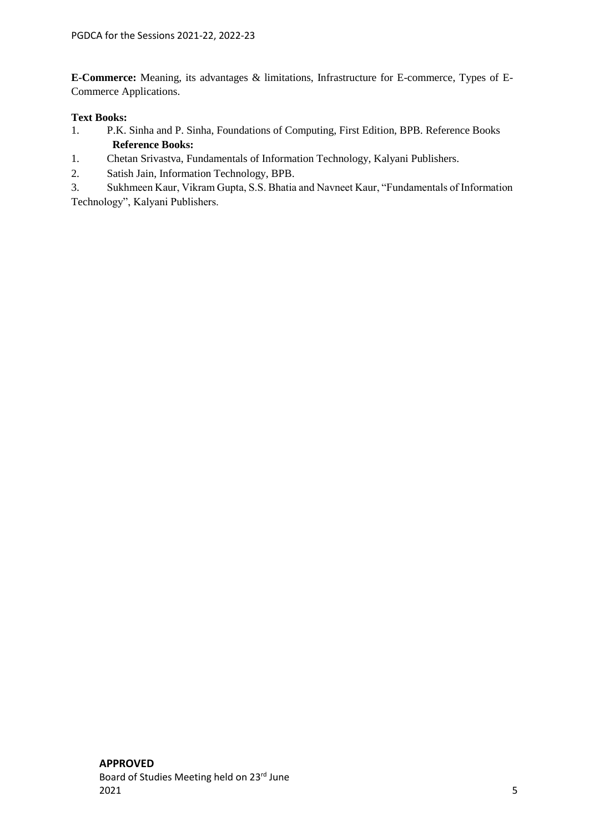**E-Commerce:** Meaning, its advantages & limitations, Infrastructure for E-commerce, Types of E-Commerce Applications.

### **Text Books:**

- 1. P.K. Sinha and P. Sinha, Foundations of Computing, First Edition, BPB. Reference Books  **Reference Books:**
- 1. Chetan Srivastva, Fundamentals of Information Technology, Kalyani Publishers.
- 2. Satish Jain, Information Technology, BPB.
- 3. Sukhmeen Kaur, Vikram Gupta, S.S. Bhatia and Navneet Kaur, "Fundamentals of Information Technology", Kalyani Publishers.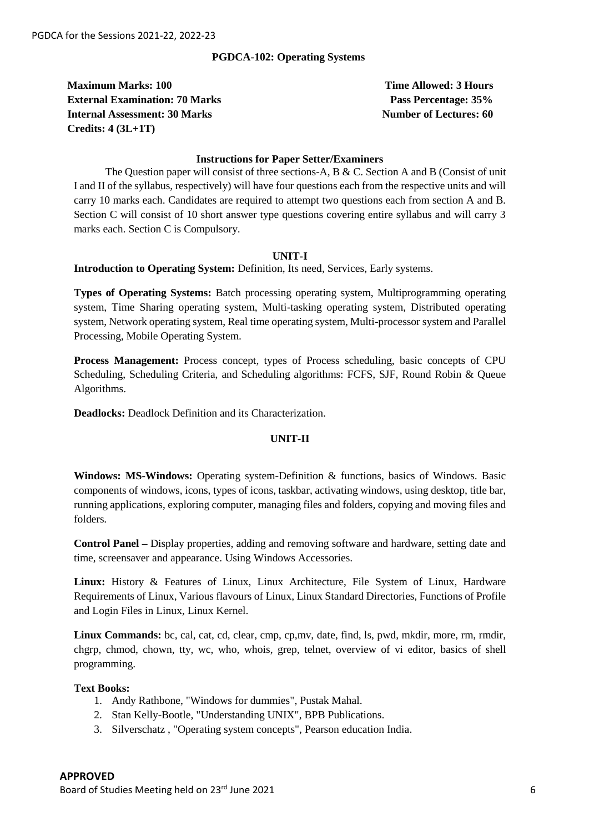#### **PGDCA-102: Operating Systems**

**Maximum Marks: 100 Time Allowed: 3 Hours External Examination: 70 Marks Pass Properties Research Pass Percentage: 35% Internal Assessment: 30 Marks Number of Lectures: 60 Credits: 4 (3L+1T)**

#### **Instructions for Paper Setter/Examiners**

The Question paper will consist of three sections-A, B & C. Section A and B (Consist of unit I and II of the syllabus, respectively) will have four questions each from the respective units and will carry 10 marks each. Candidates are required to attempt two questions each from section A and B. Section C will consist of 10 short answer type questions covering entire syllabus and will carry 3 marks each. Section C is Compulsory.

#### **UNIT-I**

#### **Introduction to Operating System:** Definition, Its need, Services, Early systems.

**Types of Operating Systems:** Batch processing operating system, Multiprogramming operating system, Time Sharing operating system, Multi-tasking operating system, Distributed operating system, Network operating system, Real time operating system, Multi-processor system and Parallel Processing, Mobile Operating System.

**Process Management:** Process concept, types of Process scheduling, basic concepts of CPU Scheduling, Scheduling Criteria, and Scheduling algorithms: FCFS, SJF, Round Robin & Queue Algorithms.

**Deadlocks:** Deadlock Definition and its Characterization.

#### **UNIT-II**

**Windows: MS-Windows:** Operating system-Definition & functions, basics of Windows. Basic components of windows, icons, types of icons, taskbar, activating windows, using desktop, title bar, running applications, exploring computer, managing files and folders, copying and moving files and folders.

**Control Panel –** Display properties, adding and removing software and hardware, setting date and time, screensaver and appearance. Using Windows Accessories.

**Linux:** History & Features of Linux, Linux Architecture, File System of Linux, Hardware Requirements of Linux, Various flavours of Linux, Linux Standard Directories, Functions of Profile and Login Files in Linux, Linux Kernel.

**Linux Commands:** bc, cal, cat, cd, clear, cmp, cp,mv, date, find, ls, pwd, mkdir, more, rm, rmdir, chgrp, chmod, chown, tty, wc, who, whois, grep, telnet, overview of vi editor, basics of shell programming.

#### **Text Books:**

- 1. Andy Rathbone, "Windows for dummies", Pustak Mahal.
- 2. Stan Kelly-Bootle, "Understanding UNIX", BPB Publications.
- 3. Silverschatz , "Operating system concepts", Pearson education India.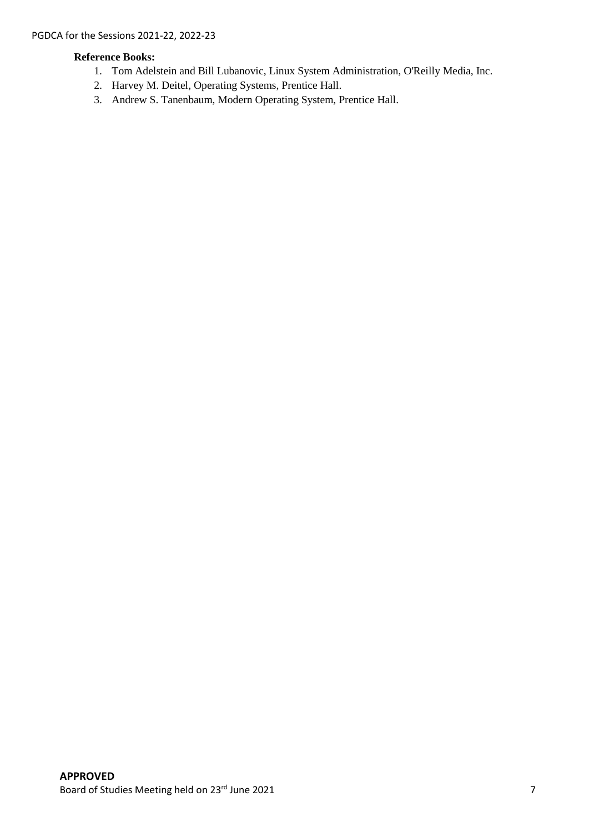### **Reference Books:**

- 1. Tom Adelstein and Bill Lubanovic, Linux System Administration, O'Reilly Media, Inc.
- 2. Harvey M. Deitel, Operating Systems, Prentice Hall.
- 3. Andrew S. Tanenbaum, Modern Operating System, Prentice Hall.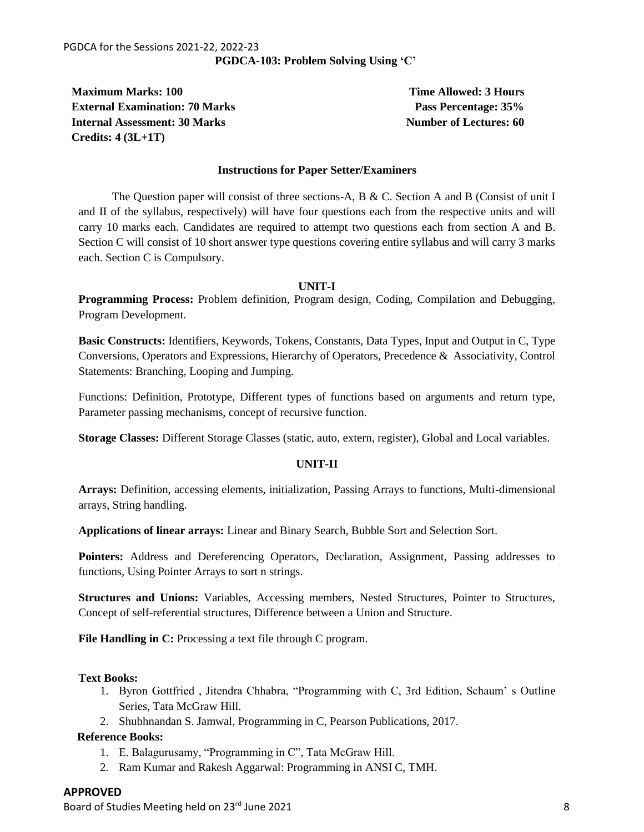**Maximum Marks: 100 Time Allowed: 3 Hours Time Allowed: 3 Hours External Examination: 70 Marks Pass Percentage: 35% Internal Assessment: 30 Marks Number of Lectures: 60 Credits: 4 (3L+1T)**

#### **Instructions for Paper Setter/Examiners**

The Question paper will consist of three sections-A, B & C. Section A and B (Consist of unit I and II of the syllabus, respectively) will have four questions each from the respective units and will carry 10 marks each. Candidates are required to attempt two questions each from section A and B. Section C will consist of 10 short answer type questions covering entire syllabus and will carry 3 marks each. Section C is Compulsory.

#### **UNIT-I**

**Programming Process:** Problem definition, Program design, Coding, Compilation and Debugging, Program Development.

**Basic Constructs:** Identifiers, Keywords, Tokens, Constants, Data Types, Input and Output in C, Type Conversions, Operators and Expressions, Hierarchy of Operators, Precedence & Associativity, Control Statements: Branching, Looping and Jumping.

Functions: Definition, Prototype, Different types of functions based on arguments and return type, Parameter passing mechanisms, concept of recursive function.

**Storage Classes:** Different Storage Classes (static, auto, extern, register), Global and Local variables.

#### **UNIT-II**

**Arrays:** Definition, accessing elements, initialization, Passing Arrays to functions, Multi-dimensional arrays, String handling.

**Applications of linear arrays:** Linear and Binary Search, Bubble Sort and Selection Sort.

**Pointers:** Address and Dereferencing Operators, Declaration, Assignment, Passing addresses to functions, Using Pointer Arrays to sort n strings.

**Structures and Unions:** Variables, Accessing members, Nested Structures, Pointer to Structures, Concept of self-referential structures, Difference between a Union and Structure.

File Handling in C: Processing a text file through C program.

#### **Text Books:**

- 1. Byron Gottfried , Jitendra Chhabra, "Programming with C, 3rd Edition, Schaum' s Outline Series, Tata McGraw Hill.
- 2. Shubhnandan S. Jamwal, Programming in C, Pearson Publications, 2017.

#### **Reference Books:**

- 1. E. Balagurusamy, "Programming in C", Tata McGraw Hill.
- 2. Ram Kumar and Rakesh Aggarwal: Programming in ANSI C, TMH.

#### **APPROVED**

Board of Studies Meeting held on 23rd June 2021 8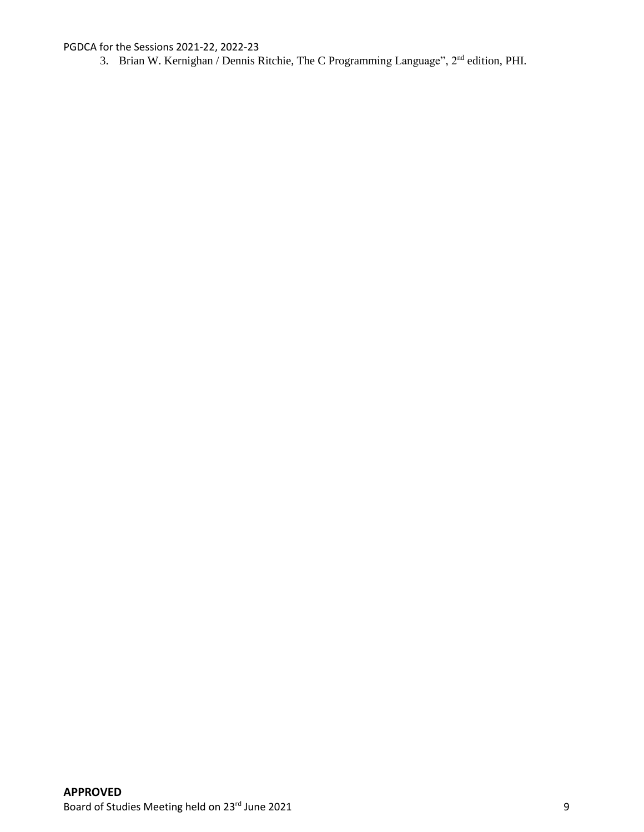3. Brian W. Kernighan / Dennis Ritchie, The C Programming Language", 2nd edition, PHI.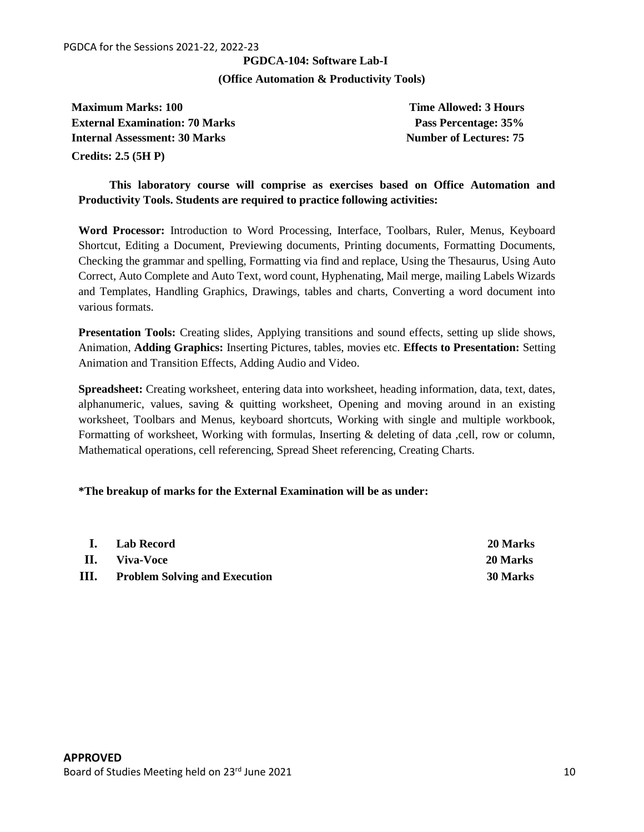## **PGDCA-104: Software Lab-I**

#### **(Office Automation & Productivity Tools)**

**Maximum Marks: 100 Time Allowed: 3 Hours Maximum Marks: 100 External Examination: 70 Marks Pass Percentage: 35% Internal Assessment: 30 Marks Number of Lectures: 75 Credits: 2.5 (5H P)**

**This laboratory course will comprise as exercises based on Office Automation and Productivity Tools. Students are required to practice following activities:**

**Word Processor:** Introduction to Word Processing, Interface, Toolbars, Ruler, Menus, Keyboard Shortcut, Editing a Document, Previewing documents, Printing documents, Formatting Documents, Checking the grammar and spelling, Formatting via find and replace, Using the Thesaurus, Using Auto Correct, Auto Complete and Auto Text, word count, Hyphenating, Mail merge, mailing Labels Wizards and Templates, Handling Graphics, Drawings, tables and charts, Converting a word document into various formats.

**Presentation Tools:** Creating slides, Applying transitions and sound effects, setting up slide shows, Animation, **Adding Graphics:** Inserting Pictures, tables, movies etc. **Effects to Presentation:** Setting Animation and Transition Effects, Adding Audio and Video.

**Spreadsheet:** Creating worksheet, entering data into worksheet, heading information, data, text, dates, alphanumeric, values, saving  $\&$  quitting worksheet, Opening and moving around in an existing worksheet, Toolbars and Menus, keyboard shortcuts, Working with single and multiple workbook, Formatting of worksheet, Working with formulas, Inserting & deleting of data ,cell, row or column, Mathematical operations, cell referencing, Spread Sheet referencing, Creating Charts.

#### **\*The breakup of marks for the External Examination will be as under:**

| $\mathbf{I}$ . | Lab Record                           | <b>20 Marks</b> |
|----------------|--------------------------------------|-----------------|
| Н.             | Viva-Voce                            | 20 Marks        |
| III.           | <b>Problem Solving and Execution</b> | <b>30 Marks</b> |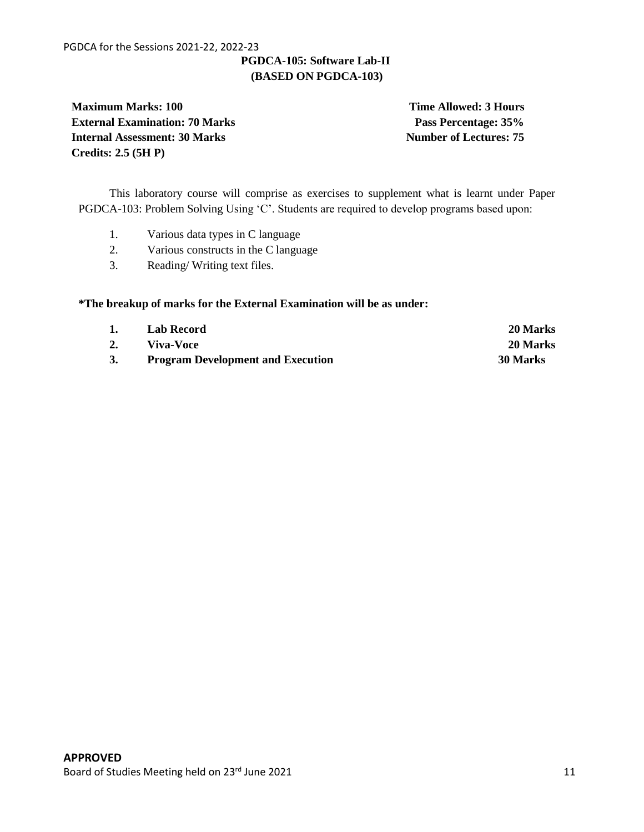## **PGDCA-105: Software Lab-II (BASED ON PGDCA-103)**

**Maximum Marks: 100 Time Allowed: 3 Hours External Examination: 70 Marks Pass Percentage: 35% Internal Assessment: 30 Marks Number of Lectures: 75 Credits: 2.5 (5H P)**

This laboratory course will comprise as exercises to supplement what is learnt under Paper PGDCA-103: Problem Solving Using 'C'. Students are required to develop programs based upon:

- 1. Various data types in C language
- 2. Various constructs in the C language
- 3. Reading/ Writing text files.

#### **\*The breakup of marks for the External Examination will be as under:**

| 1. | Lab Record                               | 20 Marks |
|----|------------------------------------------|----------|
|    | Viva-Voce                                | 20 Marks |
|    | <b>Program Development and Execution</b> | 30 Marks |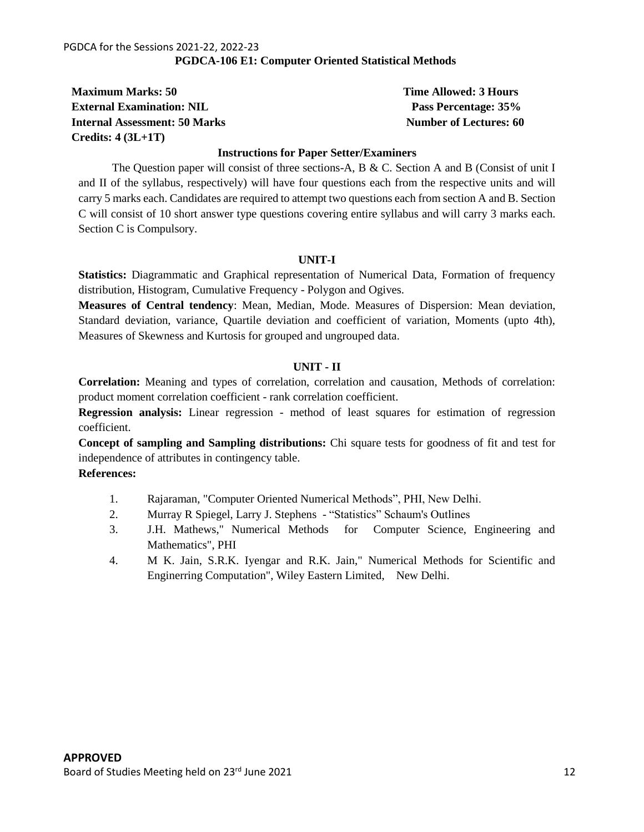#### PGDCA for the Sessions 2021-22, 2022-23 **PGDCA-106 E1: Computer Oriented Statistical Methods**

**Maximum Marks: 50 Time Allowed: 3 Hours Time Allowed: 3 Hours External Examination: NIL Pass Percentage: 35% Internal Assessment: 50 Marks Number of Lectures: 60 Marks Number of Lectures: 60 Marks Number of Lectures: 60 Marks Number of Lectures: 60 Marks Number of Lectures: 60 Marks Number of Lectures: 60 Marks Number of Lecture Credits: 4 (3L+1T)**

#### **Instructions for Paper Setter/Examiners**

The Question paper will consist of three sections-A, B & C. Section A and B (Consist of unit I and II of the syllabus, respectively) will have four questions each from the respective units and will carry 5 marks each. Candidates are required to attempt two questions each from section A and B. Section C will consist of 10 short answer type questions covering entire syllabus and will carry 3 marks each. Section C is Compulsory.

#### **UNIT-I**

**Statistics:** Diagrammatic and Graphical representation of Numerical Data, Formation of frequency distribution, Histogram, Cumulative Frequency - Polygon and Ogives.

**Measures of Central tendency**: Mean, Median, Mode. Measures of Dispersion: Mean deviation, Standard deviation, variance, Quartile deviation and coefficient of variation, Moments (upto 4th), Measures of Skewness and Kurtosis for grouped and ungrouped data.

#### **UNIT - II**

**Correlation:** Meaning and types of correlation, correlation and causation, Methods of correlation: product moment correlation coefficient - rank correlation coefficient.

**Regression analysis:** Linear regression - method of least squares for estimation of regression coefficient.

**Concept of sampling and Sampling distributions:** Chi square tests for goodness of fit and test for independence of attributes in contingency table.

#### **References:**

- 1. Rajaraman, "Computer Oriented Numerical Methods", PHI, New Delhi.
- 2. Murray R Spiegel, Larry J. Stephens "Statistics" Schaum's Outlines
- 3. J.H. Mathews," Numerical Methods for Computer Science, Engineering and Mathematics", PHI
- 4. M K. Jain, S.R.K. Iyengar and R.K. Jain," Numerical Methods for Scientific and Enginerring Computation", Wiley Eastern Limited, New Delhi.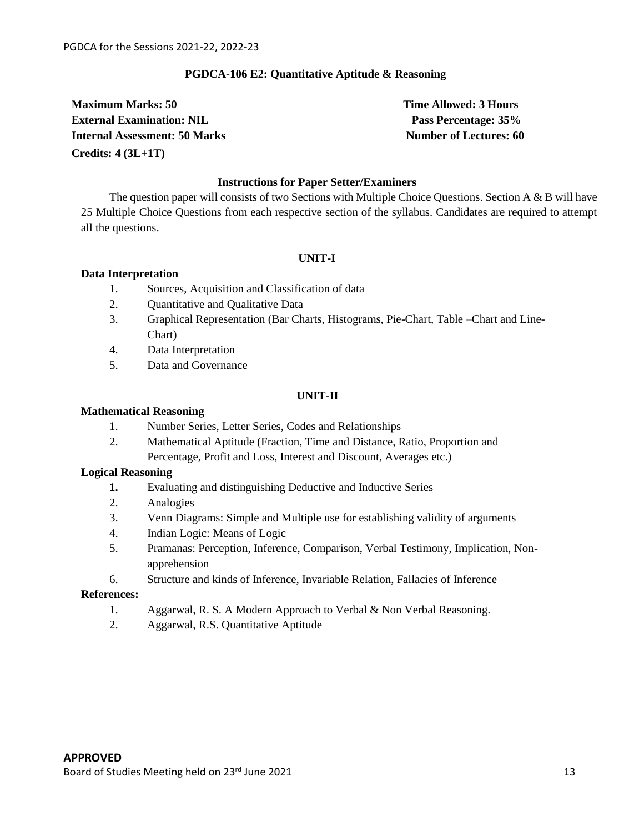#### **PGDCA-106 E2: Quantitative Aptitude & Reasoning**

**Maximum Marks: 50 Time Allowed: 3 Hours Time Allowed: 3 Hours External Examination: NIL Pass Percentage: 35% Internal Assessment: 50 Marks Number of Lectures: 60 Credits: 4 (3L+1T)**

#### **Instructions for Paper Setter/Examiners**

The question paper will consists of two Sections with Multiple Choice Questions. Section A & B will have 25 Multiple Choice Questions from each respective section of the syllabus. Candidates are required to attempt all the questions.

#### **UNIT-I**

#### **Data Interpretation**

- 1. Sources, Acquisition and Classification of data
- 2. Quantitative and Qualitative Data
- 3. Graphical Representation (Bar Charts, Histograms, Pie-Chart, Table –Chart and Line-Chart)
- 4. Data Interpretation
- 5. Data and Governance

#### **UNIT-II**

#### **Mathematical Reasoning**

- 1. Number Series, Letter Series, Codes and Relationships
- 2. Mathematical Aptitude (Fraction, Time and Distance, Ratio, Proportion and Percentage, Profit and Loss, Interest and Discount, Averages etc.)

#### **Logical Reasoning**

- **1.** Evaluating and distinguishing Deductive and Inductive Series
- 2. Analogies
- 3. Venn Diagrams: Simple and Multiple use for establishing validity of arguments
- 4. Indian Logic: Means of Logic
- 5. Pramanas: Perception, Inference, Comparison, Verbal Testimony, Implication, Nonapprehension
- 6. Structure and kinds of Inference, Invariable Relation, Fallacies of Inference

#### **References:**

- 1. Aggarwal, R. S. A Modern Approach to Verbal & Non Verbal Reasoning.
- 2. Aggarwal, R.S. Quantitative Aptitude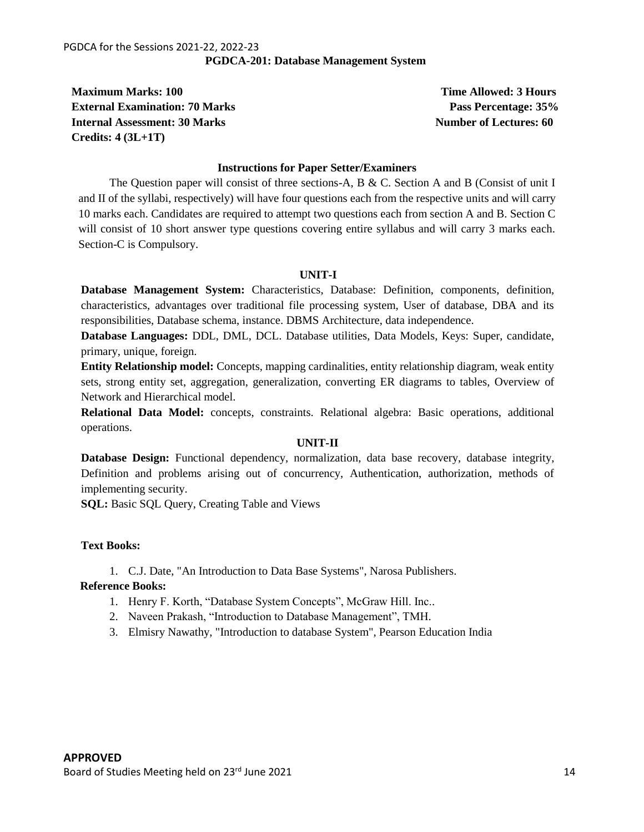**Maximum Marks: 100 Time Allowed: 3 Hours Time Allowed: 3 Hours External Examination: 70 Marks Pass Pass Percentage: 35% Internal Assessment: 30 Marks Number of Lectures: 60 Credits: 4 (3L+1T)**

#### **Instructions for Paper Setter/Examiners**

The Question paper will consist of three sections-A,  $B \& C$ . Section A and B (Consist of unit I and II of the syllabi, respectively) will have four questions each from the respective units and will carry 10 marks each. Candidates are required to attempt two questions each from section A and B. Section C will consist of 10 short answer type questions covering entire syllabus and will carry 3 marks each. Section-C is Compulsory.

#### **UNIT-I**

**Database Management System:** Characteristics, Database: Definition, components, definition, characteristics, advantages over traditional file processing system, User of database, DBA and its responsibilities, Database schema, instance. DBMS Architecture, data independence.

**Database Languages:** DDL, DML, DCL. Database utilities, Data Models, Keys: Super, candidate, primary, unique, foreign.

**Entity Relationship model:** Concepts, mapping cardinalities, entity relationship diagram, weak entity sets, strong entity set, aggregation, generalization, converting ER diagrams to tables, Overview of Network and Hierarchical model.

**Relational Data Model:** concepts, constraints. Relational algebra: Basic operations, additional operations.

#### **UNIT-II**

**Database Design:** Functional dependency, normalization, data base recovery, database integrity, Definition and problems arising out of concurrency, Authentication, authorization, methods of implementing security.

**SQL:** Basic SQL Query, Creating Table and Views

#### **Text Books:**

1. C.J. Date, "An Introduction to Data Base Systems", Narosa Publishers.

#### **Reference Books:**

- 1. Henry F. Korth, "Database System Concepts", McGraw Hill. Inc..
- 2. Naveen Prakash, "Introduction to Database Management", TMH.
- 3. Elmisry Nawathy, "Introduction to database System", Pearson Education India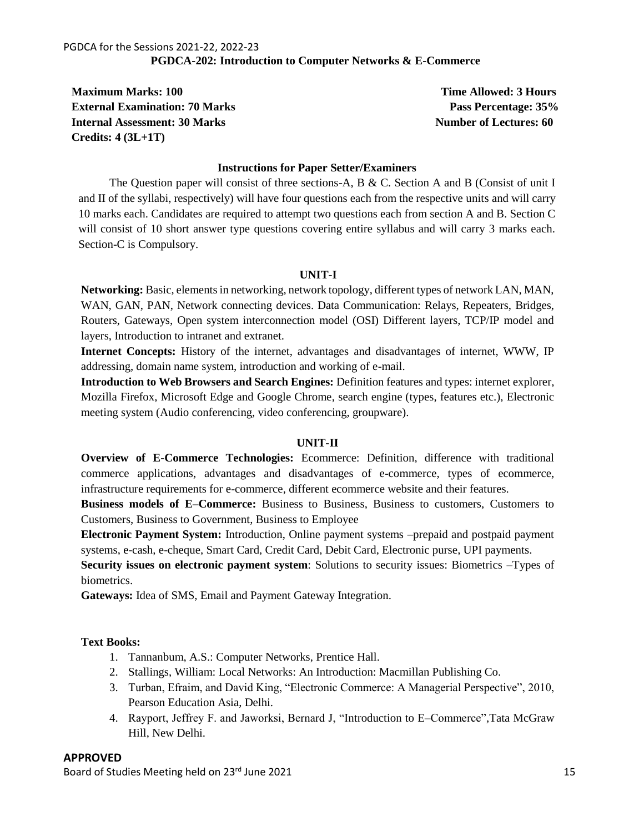**Maximum Marks: 100 Time Allowed: 3 Hours Time Allowed: 3 Hours External Examination: 70 Marks Pass Percentage: 35% Internal Assessment: 30 Marks Number of Lectures: 60 Credits: 4 (3L+1T)**

#### **Instructions for Paper Setter/Examiners**

The Question paper will consist of three sections-A,  $B \& C$ . Section A and B (Consist of unit I and II of the syllabi, respectively) will have four questions each from the respective units and will carry 10 marks each. Candidates are required to attempt two questions each from section A and B. Section C will consist of 10 short answer type questions covering entire syllabus and will carry 3 marks each. Section-C is Compulsory.

#### **UNIT-I**

**Networking:** Basic, elements in networking, network topology, different types of network LAN, MAN, WAN, GAN, PAN, Network connecting devices. Data Communication: Relays, Repeaters, Bridges, Routers, Gateways, Open system interconnection model (OSI) Different layers, TCP/IP model and layers, Introduction to intranet and extranet.

**Internet Concepts:** History of the internet, advantages and disadvantages of internet, WWW, IP addressing, domain name system, introduction and working of e-mail.

**Introduction to Web Browsers and Search Engines:** Definition features and types: internet explorer, Mozilla Firefox, Microsoft Edge and Google Chrome, search engine (types, features etc.), Electronic meeting system (Audio conferencing, video conferencing, groupware).

#### **UNIT-II**

**Overview of E-Commerce Technologies:** Ecommerce: Definition, difference with traditional commerce applications, advantages and disadvantages of e-commerce, types of ecommerce, infrastructure requirements for e-commerce, different ecommerce website and their features.

**Business models of E–Commerce:** Business to Business, Business to customers, Customers to Customers, Business to Government, Business to Employee

**Electronic Payment System:** Introduction, Online payment systems –prepaid and postpaid payment systems, e-cash, e-cheque, Smart Card, Credit Card, Debit Card, Electronic purse, UPI payments.

**Security issues on electronic payment system**: Solutions to security issues: Biometrics –Types of biometrics.

**Gateways:** Idea of SMS, Email and Payment Gateway Integration.

### **Text Books:**

- 1. Tannanbum, A.S.: Computer Networks, Prentice Hall.
- 2. Stallings, William: Local Networks: An Introduction: Macmillan Publishing Co.
- 3. Turban, Efraim, and David King, "Electronic Commerce: A Managerial Perspective", 2010, Pearson Education Asia, Delhi.
- 4. Rayport, Jeffrey F. and Jaworksi, Bernard J, "Introduction to E–Commerce",Tata McGraw Hill, New Delhi.

#### **APPROVED**

Board of Studies Meeting held on 23<sup>rd</sup> June 2021 15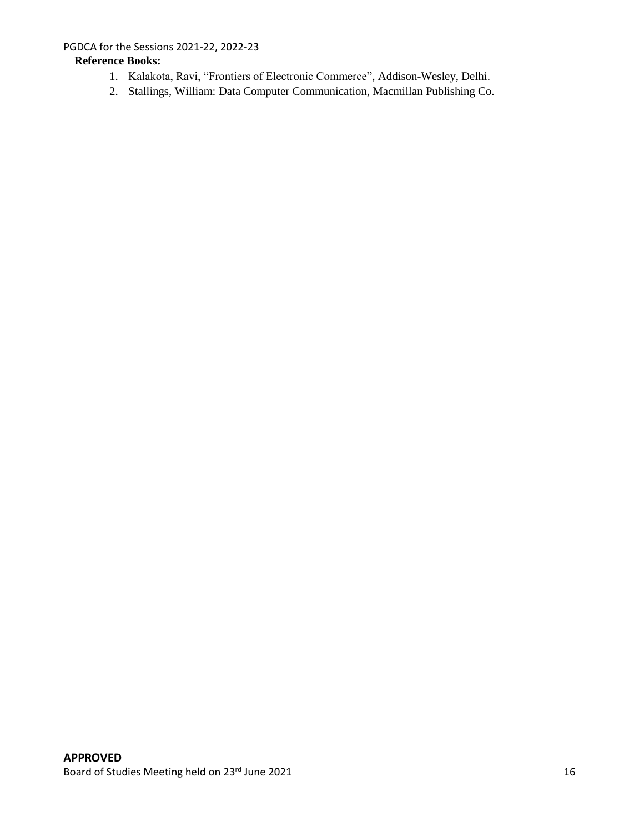## **Reference Books:**

- 1. Kalakota, Ravi, "Frontiers of Electronic Commerce", Addison-Wesley, Delhi.
- 2. Stallings, William: Data Computer Communication, Macmillan Publishing Co.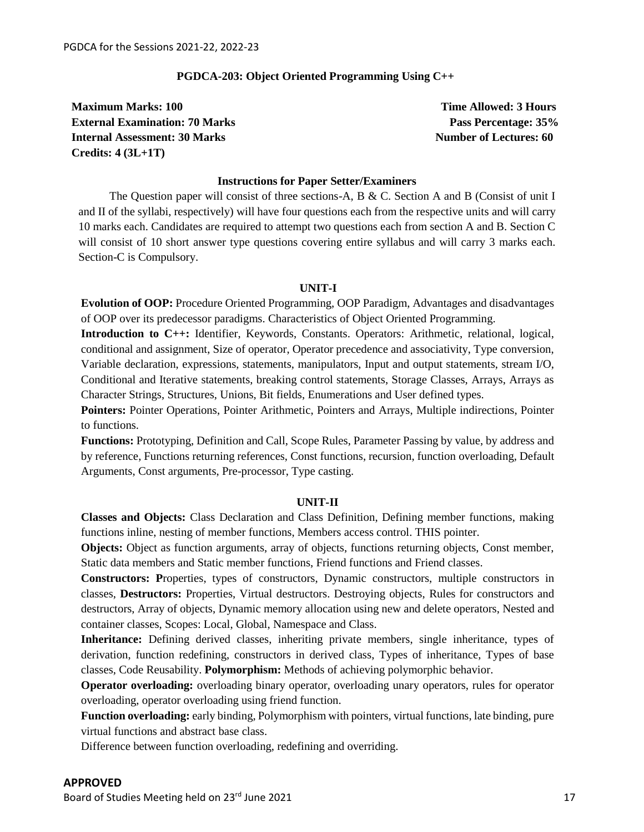#### **PGDCA-203: Object Oriented Programming Using C++**

**Maximum Marks: 100 Time Allowed: 3 Hours Maximum Marks: 100 External Examination: 70 Marks Pass Percentage: 35% Internal Assessment: 30 Marks Number of Lectures: 60 Credits: 4 (3L+1T)**

#### **Instructions for Paper Setter/Examiners**

The Question paper will consist of three sections-A,  $B \& C$ . Section A and B (Consist of unit I and II of the syllabi, respectively) will have four questions each from the respective units and will carry 10 marks each. Candidates are required to attempt two questions each from section A and B. Section C will consist of 10 short answer type questions covering entire syllabus and will carry 3 marks each. Section-C is Compulsory.

#### **UNIT-I**

**Evolution of OOP:** Procedure Oriented Programming, OOP Paradigm, Advantages and disadvantages of OOP over its predecessor paradigms. Characteristics of Object Oriented Programming.

**Introduction to C++:** Identifier, Keywords, Constants. Operators: Arithmetic, relational, logical, conditional and assignment, Size of operator, Operator precedence and associativity, Type conversion, Variable declaration, expressions, statements, manipulators, Input and output statements, stream I/O, Conditional and Iterative statements, breaking control statements, Storage Classes, Arrays, Arrays as Character Strings, Structures, Unions, Bit fields, Enumerations and User defined types.

**Pointers:** Pointer Operations, Pointer Arithmetic, Pointers and Arrays, Multiple indirections, Pointer to functions.

**Functions:** Prototyping, Definition and Call, Scope Rules, Parameter Passing by value, by address and by reference, Functions returning references, Const functions, recursion, function overloading, Default Arguments, Const arguments, Pre-processor, Type casting.

#### **UNIT-II**

**Classes and Objects:** Class Declaration and Class Definition, Defining member functions, making functions inline, nesting of member functions, Members access control. THIS pointer.

**Objects:** Object as function arguments, array of objects, functions returning objects, Const member, Static data members and Static member functions, Friend functions and Friend classes.

**Constructors: P**roperties, types of constructors, Dynamic constructors, multiple constructors in classes, **Destructors:** Properties, Virtual destructors. Destroying objects, Rules for constructors and destructors, Array of objects, Dynamic memory allocation using new and delete operators, Nested and container classes, Scopes: Local, Global, Namespace and Class.

**Inheritance:** Defining derived classes, inheriting private members, single inheritance, types of derivation, function redefining, constructors in derived class, Types of inheritance, Types of base classes, Code Reusability. **Polymorphism:** Methods of achieving polymorphic behavior.

**Operator overloading:** overloading binary operator, overloading unary operators, rules for operator overloading, operator overloading using friend function.

**Function overloading:** early binding, Polymorphism with pointers, virtual functions, late binding, pure virtual functions and abstract base class.

Difference between function overloading, redefining and overriding.

**APPROVED**

Board of Studies Meeting held on 23<sup>rd</sup> June 2021 17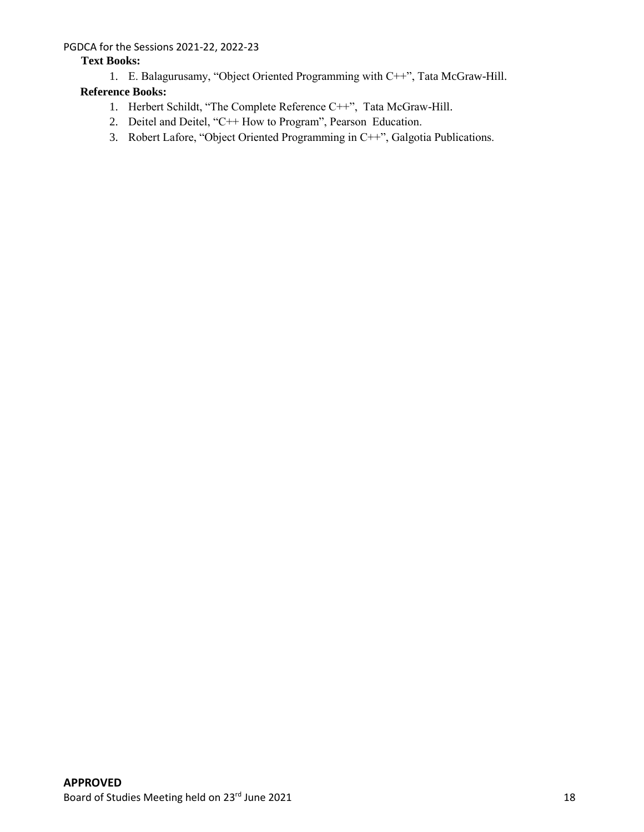## **Text Books:**

1. E. Balagurusamy, "Object Oriented Programming with C++", Tata McGraw-Hill.

## **Reference Books:**

- 1. Herbert Schildt, "The Complete Reference C++", Tata McGraw-Hill.
- 2. Deitel and Deitel, "C++ How to Program", Pearson Education.
- 3. Robert Lafore, "Object Oriented Programming in C++", Galgotia Publications.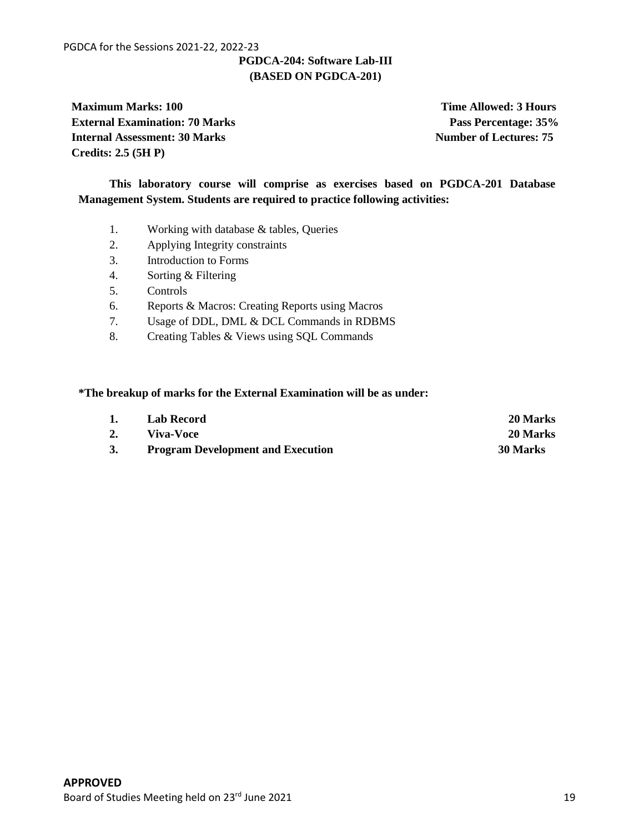## **PGDCA-204: Software Lab-III (BASED ON PGDCA-201)**

**Maximum Marks: 100 Time Allowed: 3 Hours Maximum Marks: 100 External Examination: 70 Marks** Pass Percentage: 35% **Internal Assessment: 30 Marks Number of Lectures: 75 Credits: 2.5 (5H P)**

**This laboratory course will comprise as exercises based on PGDCA-201 Database Management System. Students are required to practice following activities:**

- 1. Working with database & tables, Queries
- 2. Applying Integrity constraints
- 3. Introduction to Forms
- 4. Sorting & Filtering
- 5. Controls
- 6. Reports & Macros: Creating Reports using Macros
- 7. Usage of DDL, DML & DCL Commands in RDBMS
- 8. Creating Tables & Views using SQL Commands

#### **\*The breakup of marks for the External Examination will be as under:**

| 1. | <b>Lab Record</b>                        | 20 Marks |
|----|------------------------------------------|----------|
|    | Viva-Voce                                | 20 Marks |
|    | <b>Program Development and Execution</b> | 30 Marks |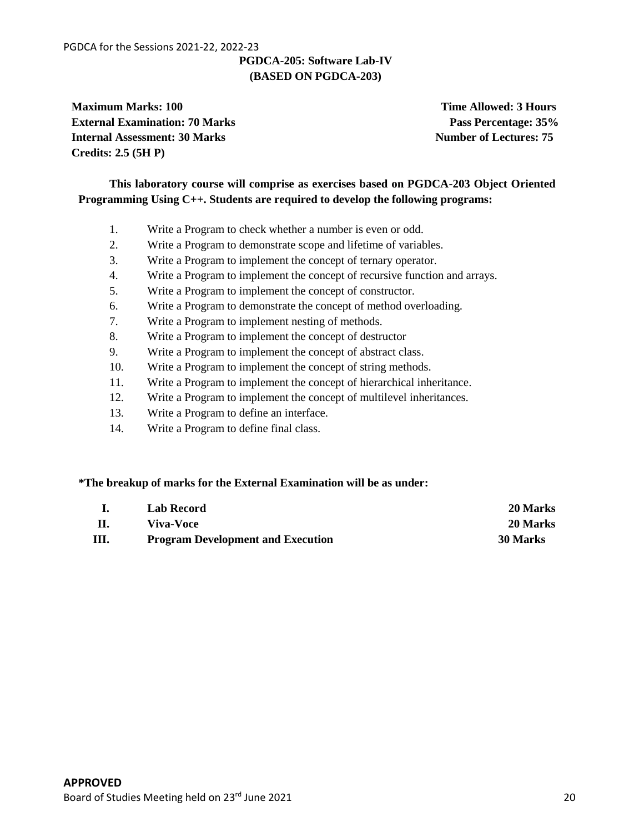## **PGDCA-205: Software Lab-IV (BASED ON PGDCA-203)**

**Maximum Marks: 100 Time Allowed: 3 Hours Time Allowed: 3 Hours External Examination: 70 Marks Pass Percentage: 35% Internal Assessment: 30 Marks Number of Lectures: 75 Credits: 2.5 (5H P)**

## **This laboratory course will comprise as exercises based on PGDCA-203 Object Oriented Programming Using C++. Students are required to develop the following programs:**

- 1. Write a Program to check whether a number is even or odd.
- 2. Write a Program to demonstrate scope and lifetime of variables.
- 3. Write a Program to implement the concept of ternary operator.
- 4. Write a Program to implement the concept of recursive function and arrays.
- 5. Write a Program to implement the concept of constructor.
- 6. Write a Program to demonstrate the concept of method overloading.
- 7. Write a Program to implement nesting of methods.
- 8. Write a Program to implement the concept of destructor
- 9. Write a Program to implement the concept of abstract class.
- 10. Write a Program to implement the concept of string methods.
- 11. Write a Program to implement the concept of hierarchical inheritance.
- 12. Write a Program to implement the concept of multilevel inheritances.
- 13. Write a Program to define an interface.
- 14. Write a Program to define final class.

#### **\*The breakup of marks for the External Examination will be as under:**

|      | <b>Lab Record</b>                        | 20 Marks |
|------|------------------------------------------|----------|
| Ш.   | Viva-Voce                                | 20 Marks |
| III. | <b>Program Development and Execution</b> | 30 Marks |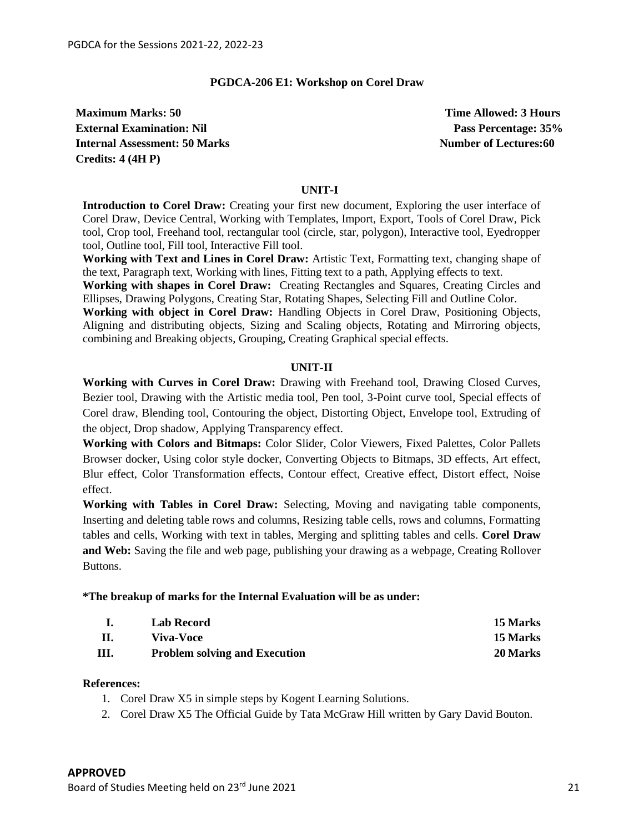#### **PGDCA-206 E1: Workshop on Corel Draw**

**Maximum Marks: 50 Time Allowed: 3 Hours Maximum Marks: 50 External Examination: Nil** Pass Percentage: 35% **Internal Assessment: 50 Marks Number of Lectures: 60 Marks Number of Lectures: 60 Marks Number of Lectures: 60 Marks Number of Lectures: 60 Marks Number of Lectures: 60 Marks Number of Lectures: 60 Marks Number of Lecture Credits: 4 (4H P)**

#### **UNIT-I**

**Introduction to Corel Draw:** Creating your first new document, Exploring the user interface of Corel Draw, Device Central, Working with Templates, Import, Export, Tools of Corel Draw, Pick tool, Crop tool, Freehand tool, rectangular tool (circle, star, polygon), Interactive tool, Eyedropper tool, Outline tool, Fill tool, Interactive Fill tool.

**Working with Text and Lines in Corel Draw:** Artistic Text, Formatting text, changing shape of the text, Paragraph text, Working with lines, Fitting text to a path, Applying effects to text.

**Working with shapes in Corel Draw:** Creating Rectangles and Squares, Creating Circles and Ellipses, Drawing Polygons, Creating Star, Rotating Shapes, Selecting Fill and Outline Color.

**Working with object in Corel Draw:** Handling Objects in Corel Draw, Positioning Objects, Aligning and distributing objects, Sizing and Scaling objects, Rotating and Mirroring objects, combining and Breaking objects, Grouping, Creating Graphical special effects.

#### **UNIT-II**

**Working with Curves in Corel Draw:** Drawing with Freehand tool, Drawing Closed Curves, Bezier tool, Drawing with the Artistic media tool, Pen tool, 3-Point curve tool, Special effects of Corel draw, Blending tool, Contouring the object, Distorting Object, Envelope tool, Extruding of the object, Drop shadow, Applying Transparency effect.

**Working with Colors and Bitmaps:** Color Slider, Color Viewers, Fixed Palettes, Color Pallets Browser docker, Using color style docker, Converting Objects to Bitmaps, 3D effects, Art effect, Blur effect, Color Transformation effects, Contour effect, Creative effect, Distort effect, Noise effect.

**Working with Tables in Corel Draw:** Selecting, Moving and navigating table components, Inserting and deleting table rows and columns, Resizing table cells, rows and columns, Formatting tables and cells, Working with text in tables, Merging and splitting tables and cells. **Corel Draw and Web:** Saving the file and web page, publishing your drawing as a webpage, Creating Rollover Buttons.

#### **\*The breakup of marks for the Internal Evaluation will be as under:**

|    | Lab Record                           | 15 Marks |
|----|--------------------------------------|----------|
|    | <b>Viva-Voce</b>                     | 15 Marks |
| Ш. | <b>Problem solving and Execution</b> | 20 Marks |

#### **References:**

- 1. Corel Draw X5 in simple steps by Kogent Learning Solutions.
- 2. Corel Draw X5 The Official Guide by Tata McGraw Hill written by Gary David Bouton.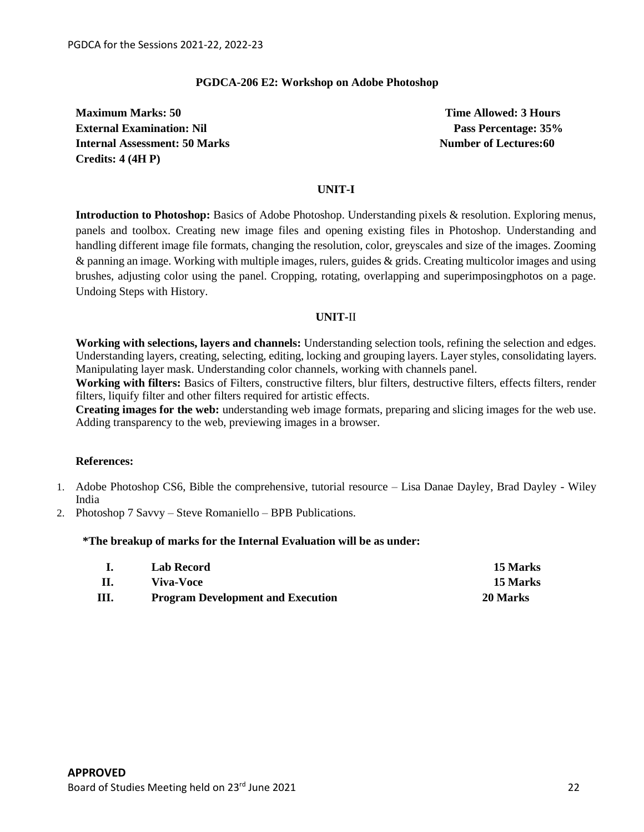#### **PGDCA-206 E2: Workshop on Adobe Photoshop**

**Maximum Marks: 50 Time Allowed: 3 Hours External Examination: Nil** Pass Percentage: 35% **Internal Assessment: 50 Marks Number of Lectures: 60 Marks Number of Lectures: 60 Marks Number of Lectures: 60 Marks Number of Lectures: 60 Marks Number of Lectures: 60 Marks Number of Lectures: 60 Marks Number of Lecture Credits: 4 (4H P)**

#### **UNIT-I**

**Introduction to Photoshop:** Basics of Adobe Photoshop. Understanding pixels & resolution. Exploring menus, panels and toolbox. Creating new image files and opening existing files in Photoshop. Understanding and handling different image file formats, changing the resolution, color, greyscales and size of the images. Zooming & panning an image. Working with multiple images, rulers, guides & grids. Creating multicolor images and using brushes, adjusting color using the panel. Cropping, rotating, overlapping and superimposingphotos on a page. Undoing Steps with History.

#### **UNIT-**II

**Working with selections, layers and channels:** Understanding selection tools, refining the selection and edges. Understanding layers, creating, selecting, editing, locking and grouping layers. Layer styles, consolidating layers. Manipulating layer mask. Understanding color channels, working with channels panel.

**Working with filters:** Basics of Filters, constructive filters, blur filters, destructive filters, effects filters, render filters, liquify filter and other filters required for artistic effects.

**Creating images for the web:** understanding web image formats, preparing and slicing images for the web use. Adding transparency to the web, previewing images in a browser.

#### **References:**

- 1. Adobe Photoshop CS6, Bible the comprehensive, tutorial resource Lisa Danae Dayley, Brad Dayley Wiley India
- 2. Photoshop 7 Savvy Steve Romaniello BPB Publications.

#### **\*The breakup of marks for the Internal Evaluation will be as under:**

|    | Lab Record                               | 15 Marks        |
|----|------------------------------------------|-----------------|
| Ш. | Viva-Voce                                | <b>15 Marks</b> |
| Ш  | <b>Program Development and Execution</b> | 20 Marks        |